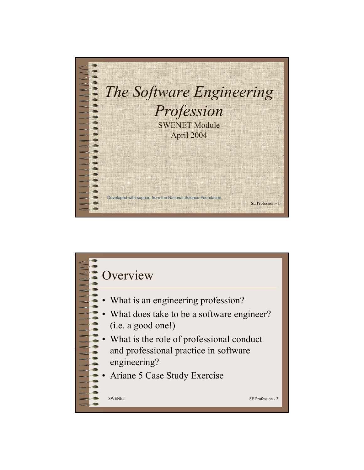

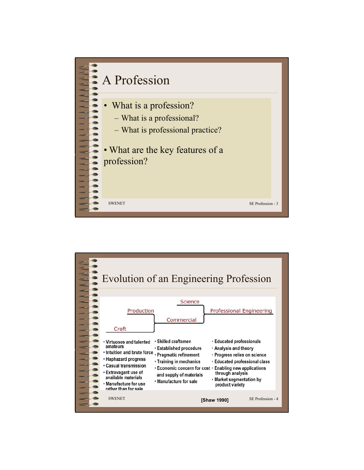

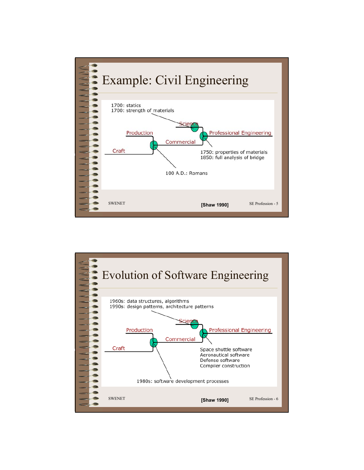

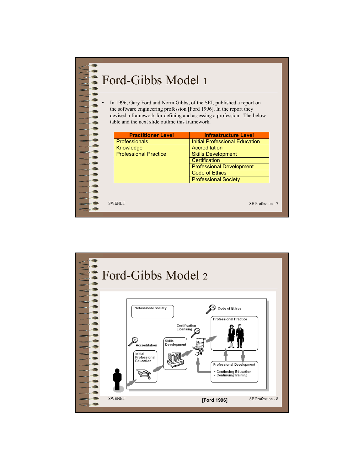

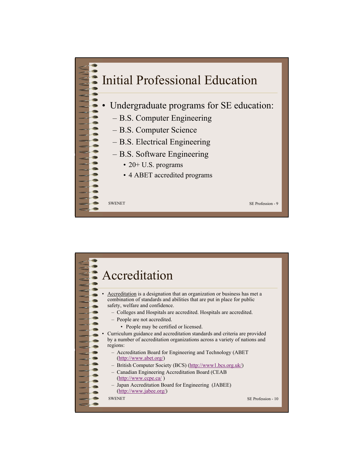

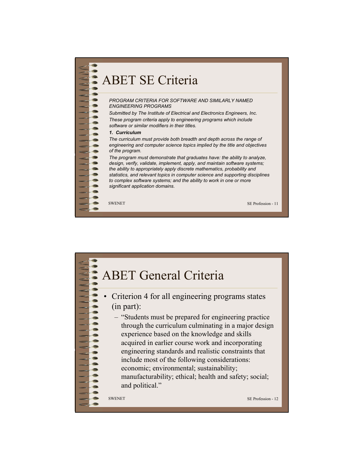

## ABET General Criteria

- Criterion 4 for all engineering programs states (in part):
	- "Students must be prepared for engineering practice through the curriculum culminating in a major design experience based on the knowledge and skills acquired in earlier course work and incorporating engineering standards and realistic constraints that include most of the following considerations: economic; environmental; sustainability; manufacturability; ethical; health and safety; social; and political."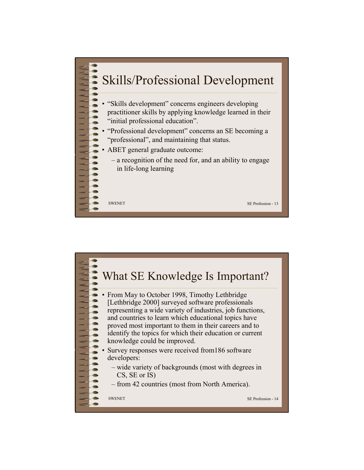

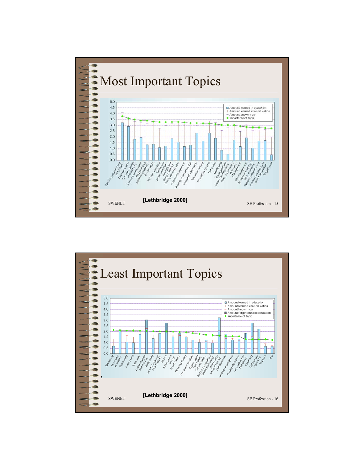

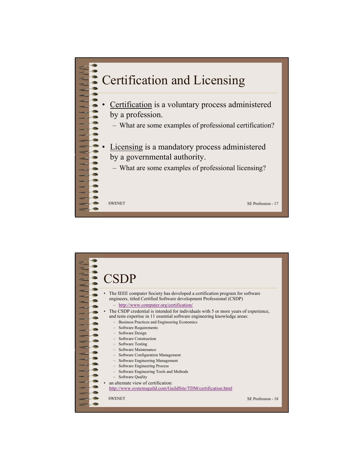

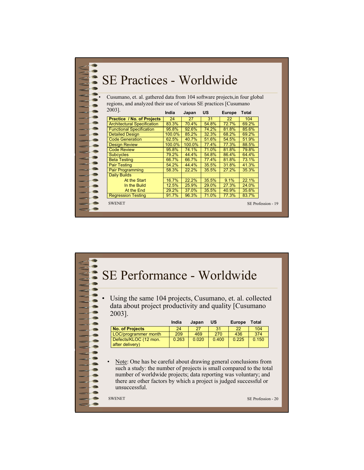| SE Practices - Worldwide                                                   |        |        |       |               |                    |  |  |  |
|----------------------------------------------------------------------------|--------|--------|-------|---------------|--------------------|--|--|--|
| Cusumano, et. al. gathered data from 104 software projects, in four global |        |        |       |               |                    |  |  |  |
| regions, and analyzed their use of various SE practices [Cusumano          |        |        |       |               |                    |  |  |  |
| 2003].                                                                     | India  | Japan  | US    | <b>Europe</b> | Total              |  |  |  |
| <b>Practice / No. of Projects</b>                                          | 24     | 27     | 31    | 22            | 104                |  |  |  |
| <b>Architectural Specification</b>                                         | 83.3%  | 70.4%  | 54.8% | 72.7%         | 69.2%              |  |  |  |
| <b>Functional Specification</b>                                            | 95.8%  | 92.6%  | 74.2% | 81.8%         | 85.6%              |  |  |  |
| <b>Detailed Design</b>                                                     | 100.0% | 85.2%  | 32.3% | 68.2%         | 69.2%              |  |  |  |
| <b>Code Generation</b>                                                     | 62.5%  | 40.7%  | 51.6% | 54.5%         | 51.9%              |  |  |  |
| <b>Design Review</b>                                                       | 100.0% | 100.0% | 77.4% | 77.3%         | 88.5%              |  |  |  |
| <b>Code Review</b>                                                         | 95.8%  | 74.1%  | 71.0% | 81.8%         | 79.8%              |  |  |  |
| <b>Subcycles</b>                                                           | 79.2%  | 44.4%  | 54.8% | 86.4%         | 64.4%              |  |  |  |
| <b>Beta Testing</b>                                                        | 66.7%  | 66.7%  | 77.4% | 81.8%         | 73.1%              |  |  |  |
| <b>Pair Testing</b>                                                        | 54.2%  | 44.4%  | 35.5% | 31.8%         | 41.3%              |  |  |  |
| Pair Programming                                                           | 58.3%  | 22.2%  | 35.5% | 27.2%         | 35.3%              |  |  |  |
| <b>Daily Builds</b>                                                        |        |        |       |               |                    |  |  |  |
| At the Start                                                               | 16.7%  | 22.2%  | 35.5% | 9.1%          | 22.1%              |  |  |  |
| In the Build                                                               | 12.5%  | 25.9%  | 29.0% | 27.3%         | 24.0%              |  |  |  |
| At the End                                                                 | 29.2%  | 37.0%  | 35.5% | 40.9%         | 35.6%              |  |  |  |
| <b>Regression Testing</b>                                                  | 91.7%  | 96.3%  | 71.0% | 77.3%         | 83.7%              |  |  |  |
| <b>SWENET</b>                                                              |        |        |       |               | SE Profession - 19 |  |  |  |

## SE Performance - Worldwide

Using the same 104 projects, Cusumano, et. al. collected data about project productivity and quality [Cusumano 2003].

|                                          | India | Japan | US    | <b>Europe</b> | Total |
|------------------------------------------|-------|-------|-------|---------------|-------|
| <b>No. of Projects</b>                   | 24    | 27    | 31    | 22            | 104   |
| LOC/programmer month                     | 209   | 469   | 270   | 436           | 374   |
| Defects/KLOC (12 mon.<br>after delivery) | 0.263 | 0.020 | 0.400 | 0.225         | 0.150 |

• Note: One has be careful about drawing general conclusions from such a study: the number of projects is small compared to the total number of worldwide projects; data reporting was voluntary; and there are other factors by which a project is judged successful or unsuccessful.

SWENET SE Profession - 20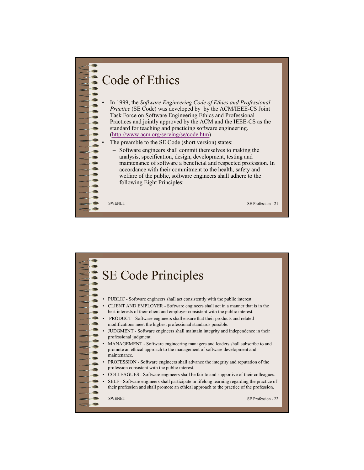

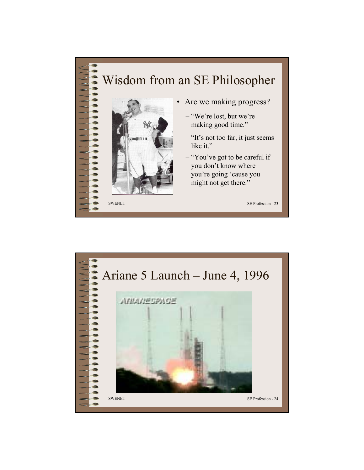## SWENET SE Profession - 23 Wisdom from an SE Philosopher • Are we making progress? – "We're lost, but we're making good time." – "It's not too far, it just seems like it." – "You've got to be careful if you don't know where you're going 'cause you might not get there."

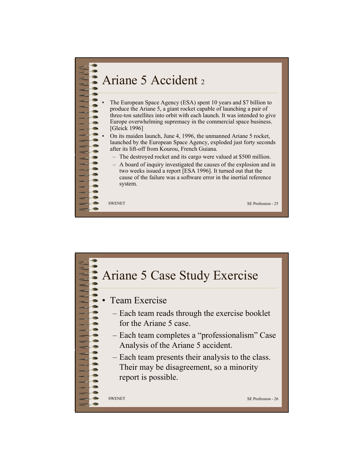